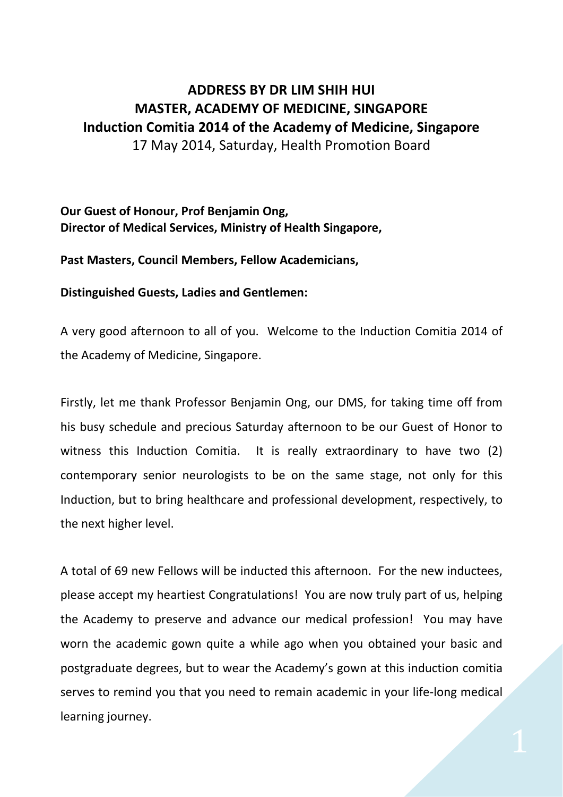## **ADDRESS BY DR LIM SHIH HUI MASTER, ACADEMY OF MEDICINE, SINGAPORE Induction Comitia 2014 of the Academy of Medicine, Singapore** 17 May 2014, Saturday, Health Promotion Board

**Our Guest of Honour, Prof Benjamin Ong, Director of Medical Services, Ministry of Health Singapore,**

**Past Masters, Council Members, Fellow Academicians,** 

**Distinguished Guests, Ladies and Gentlemen:**

A very good afternoon to all of you. Welcome to the Induction Comitia 2014 of the Academy of Medicine, Singapore.

Firstly, let me thank Professor Benjamin Ong, our DMS, for taking time off from his busy schedule and precious Saturday afternoon to be our Guest of Honor to witness this Induction Comitia. It is really extraordinary to have two (2) contemporary senior neurologists to be on the same stage, not only for this Induction, but to bring healthcare and professional development, respectively, to the next higher level.

A total of 69 new Fellows will be inducted this afternoon. For the new inductees, please accept my heartiest Congratulations! You are now truly part of us, helping the Academy to preserve and advance our medical profession! You may have worn the academic gown quite a while ago when you obtained your basic and postgraduate degrees, but to wear the Academy's gown at this induction comitia serves to remind you that you need to remain academic in your life-long medical learning journey.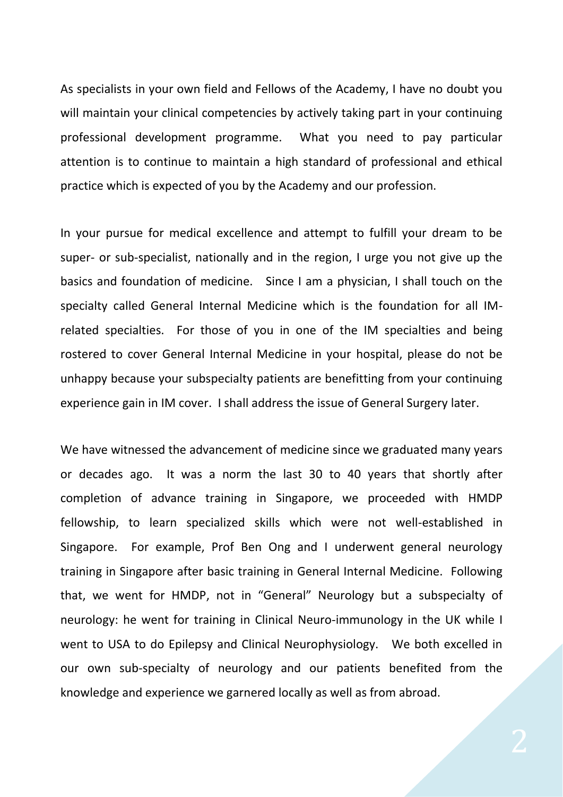As specialists in your own field and Fellows of the Academy, I have no doubt you will maintain your clinical competencies by actively taking part in your continuing professional development programme. What you need to pay particular attention is to continue to maintain a high standard of professional and ethical practice which is expected of you by the Academy and our profession.

In your pursue for medical excellence and attempt to fulfill your dream to be super- or sub-specialist, nationally and in the region, I urge you not give up the basics and foundation of medicine. Since I am a physician, I shall touch on the specialty called General Internal Medicine which is the foundation for all IMrelated specialties. For those of you in one of the IM specialties and being rostered to cover General Internal Medicine in your hospital, please do not be unhappy because your subspecialty patients are benefitting from your continuing experience gain in IM cover. I shall address the issue of General Surgery later.

We have witnessed the advancement of medicine since we graduated many years or decades ago. It was a norm the last 30 to 40 years that shortly after completion of advance training in Singapore, we proceeded with HMDP fellowship, to learn specialized skills which were not well-established in Singapore. For example, Prof Ben Ong and I underwent general neurology training in Singapore after basic training in General Internal Medicine. Following that, we went for HMDP, not in "General" Neurology but a subspecialty of neurology: he went for training in Clinical Neuro-immunology in the UK while I went to USA to do Epilepsy and Clinical Neurophysiology. We both excelled in our own sub-specialty of neurology and our patients benefited from the knowledge and experience we garnered locally as well as from abroad.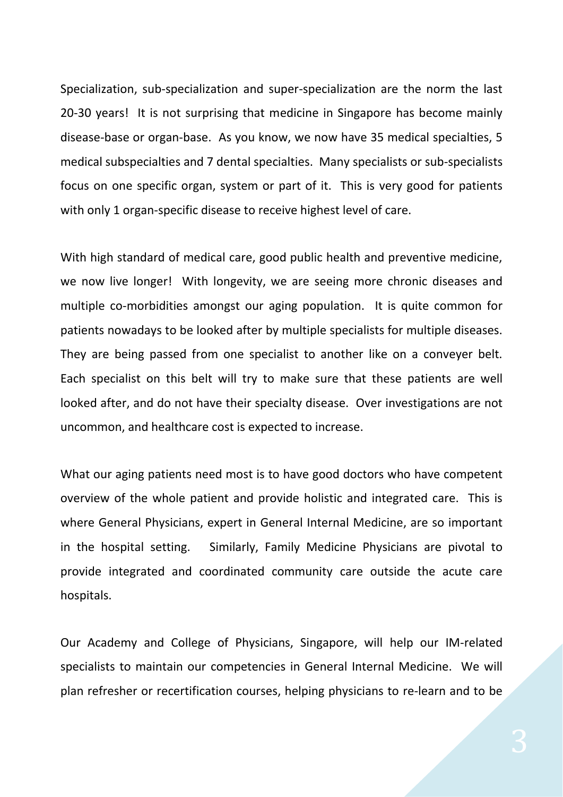Specialization, sub-specialization and super-specialization are the norm the last 20-30 years! It is not surprising that medicine in Singapore has become mainly disease-base or organ-base. As you know, we now have 35 medical specialties, 5 medical subspecialties and 7 dental specialties. Many specialists or sub-specialists focus on one specific organ, system or part of it. This is very good for patients with only 1 organ-specific disease to receive highest level of care.

With high standard of medical care, good public health and preventive medicine, we now live longer! With longevity, we are seeing more chronic diseases and multiple co-morbidities amongst our aging population. It is quite common for patients nowadays to be looked after by multiple specialists for multiple diseases. They are being passed from one specialist to another like on a conveyer belt. Each specialist on this belt will try to make sure that these patients are well looked after, and do not have their specialty disease. Over investigations are not uncommon, and healthcare cost is expected to increase.

What our aging patients need most is to have good doctors who have competent overview of the whole patient and provide holistic and integrated care. This is where General Physicians, expert in General Internal Medicine, are so important in the hospital setting. Similarly, Family Medicine Physicians are pivotal to provide integrated and coordinated community care outside the acute care hospitals.

Our Academy and College of Physicians, Singapore, will help our IM-related specialists to maintain our competencies in General Internal Medicine. We will plan refresher or recertification courses, helping physicians to re-learn and to be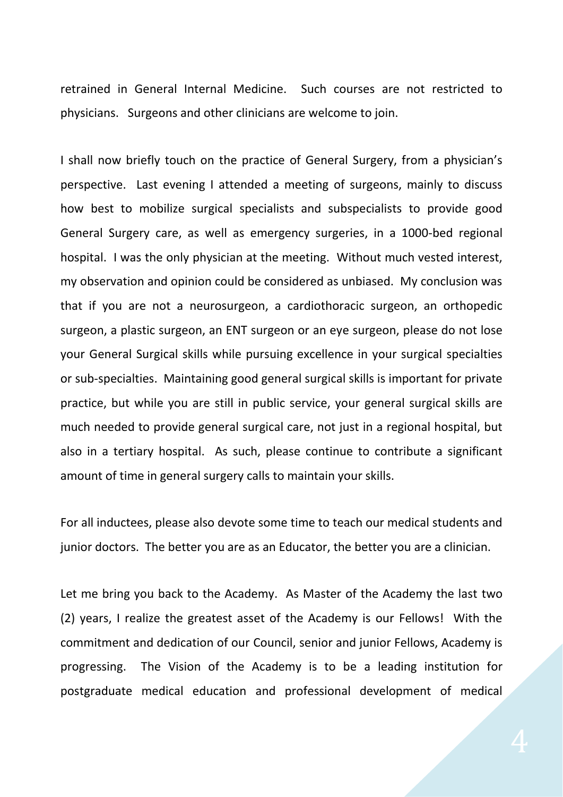retrained in General Internal Medicine. Such courses are not restricted to physicians. Surgeons and other clinicians are welcome to join.

I shall now briefly touch on the practice of General Surgery, from a physician's perspective. Last evening I attended a meeting of surgeons, mainly to discuss how best to mobilize surgical specialists and subspecialists to provide good General Surgery care, as well as emergency surgeries, in a 1000-bed regional hospital. I was the only physician at the meeting. Without much vested interest, my observation and opinion could be considered as unbiased. My conclusion was that if you are not a neurosurgeon, a cardiothoracic surgeon, an orthopedic surgeon, a plastic surgeon, an ENT surgeon or an eye surgeon, please do not lose your General Surgical skills while pursuing excellence in your surgical specialties or sub-specialties. Maintaining good general surgical skills is important for private practice, but while you are still in public service, your general surgical skills are much needed to provide general surgical care, not just in a regional hospital, but also in a tertiary hospital. As such, please continue to contribute a significant amount of time in general surgery calls to maintain your skills.

For all inductees, please also devote some time to teach our medical students and junior doctors. The better you are as an Educator, the better you are a clinician.

Let me bring you back to the Academy. As Master of the Academy the last two (2) years, I realize the greatest asset of the Academy is our Fellows! With the commitment and dedication of our Council, senior and junior Fellows, Academy is progressing. The Vision of the Academy is to be a leading institution for postgraduate medical education and professional development of medical